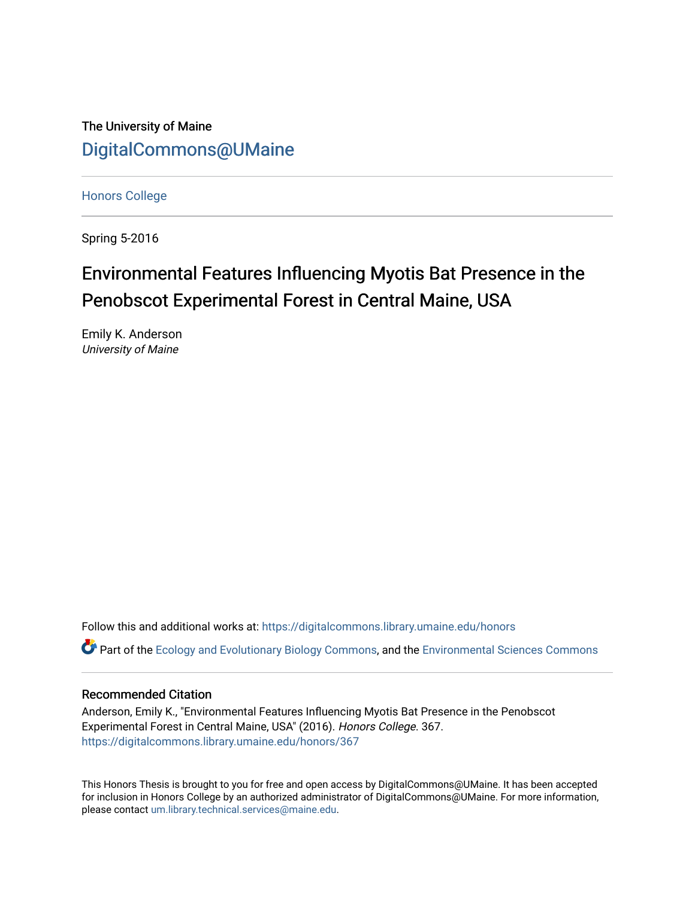The University of Maine [DigitalCommons@UMaine](https://digitalcommons.library.umaine.edu/)

[Honors College](https://digitalcommons.library.umaine.edu/honors)

Spring 5-2016

# Environmental Features Influencing Myotis Bat Presence in the Penobscot Experimental Forest in Central Maine, USA

Emily K. Anderson University of Maine

Follow this and additional works at: [https://digitalcommons.library.umaine.edu/honors](https://digitalcommons.library.umaine.edu/honors?utm_source=digitalcommons.library.umaine.edu%2Fhonors%2F367&utm_medium=PDF&utm_campaign=PDFCoverPages) 

**P** Part of the [Ecology and Evolutionary Biology Commons](http://network.bepress.com/hgg/discipline/14?utm_source=digitalcommons.library.umaine.edu%2Fhonors%2F367&utm_medium=PDF&utm_campaign=PDFCoverPages), and the [Environmental Sciences Commons](http://network.bepress.com/hgg/discipline/167?utm_source=digitalcommons.library.umaine.edu%2Fhonors%2F367&utm_medium=PDF&utm_campaign=PDFCoverPages)

#### Recommended Citation

Anderson, Emily K., "Environmental Features Influencing Myotis Bat Presence in the Penobscot Experimental Forest in Central Maine, USA" (2016). Honors College. 367. [https://digitalcommons.library.umaine.edu/honors/367](https://digitalcommons.library.umaine.edu/honors/367?utm_source=digitalcommons.library.umaine.edu%2Fhonors%2F367&utm_medium=PDF&utm_campaign=PDFCoverPages) 

This Honors Thesis is brought to you for free and open access by DigitalCommons@UMaine. It has been accepted for inclusion in Honors College by an authorized administrator of DigitalCommons@UMaine. For more information, please contact [um.library.technical.services@maine.edu.](mailto:um.library.technical.services@maine.edu)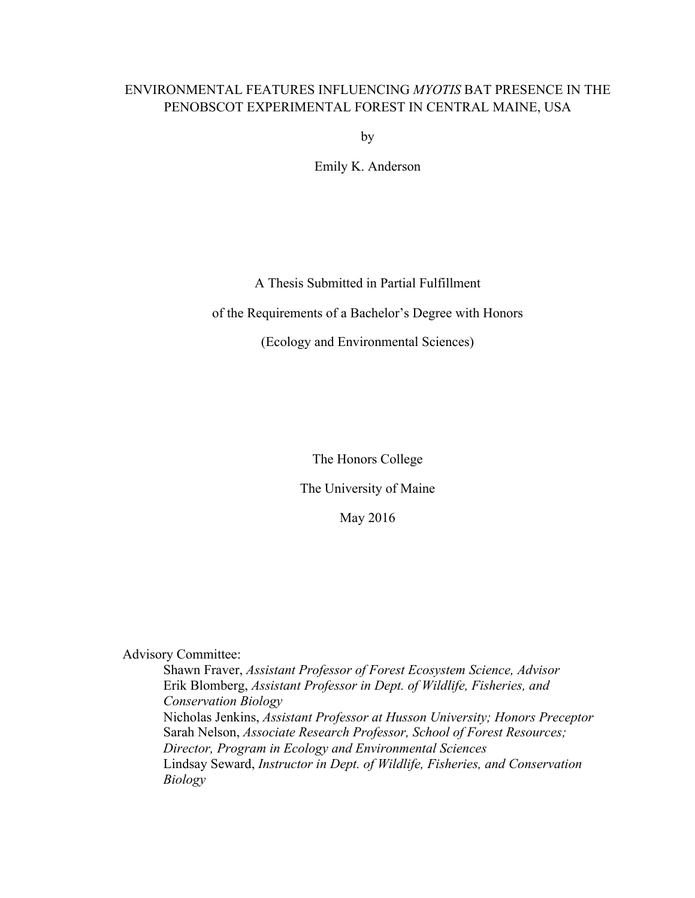## ENVIRONMENTAL FEATURES INFLUENCING *MYOTIS* BAT PRESENCE IN THE PENOBSCOT EXPERIMENTAL FOREST IN CENTRAL MAINE, USA

by

Emily K. Anderson

### A Thesis Submitted in Partial Fulfillment

#### of the Requirements of a Bachelor's Degree with Honors

#### (Ecology and Environmental Sciences)

The Honors College

#### The University of Maine

May 2016

Advisory Committee:

Shawn Fraver, *Assistant Professor of Forest Ecosystem Science, Advisor* Erik Blomberg, *Assistant Professor in Dept. of Wildlife, Fisheries, and Conservation Biology* Nicholas Jenkins, *Assistant Professor at Husson University; Honors Preceptor* Sarah Nelson, *Associate Research Professor, School of Forest Resources; Director, Program in Ecology and Environmental Sciences* Lindsay Seward, *Instructor in Dept. of Wildlife, Fisheries, and Conservation Biology*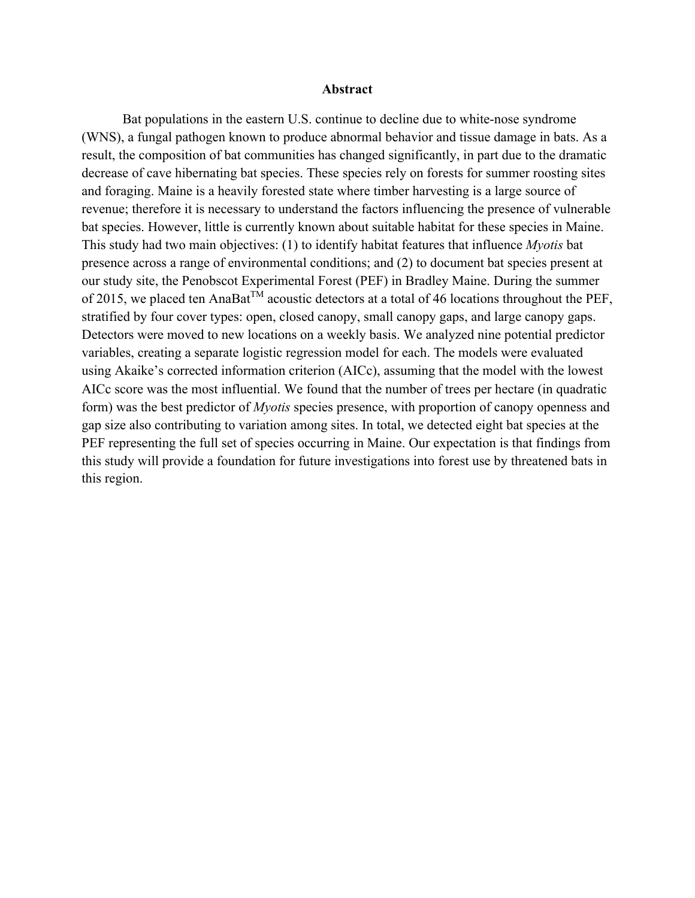#### **Abstract**

Bat populations in the eastern U.S. continue to decline due to white-nose syndrome (WNS), a fungal pathogen known to produce abnormal behavior and tissue damage in bats. As a result, the composition of bat communities has changed significantly, in part due to the dramatic decrease of cave hibernating bat species. These species rely on forests for summer roosting sites and foraging. Maine is a heavily forested state where timber harvesting is a large source of revenue; therefore it is necessary to understand the factors influencing the presence of vulnerable bat species. However, little is currently known about suitable habitat for these species in Maine. This study had two main objectives: (1) to identify habitat features that influence *Myotis* bat presence across a range of environmental conditions; and (2) to document bat species present at our study site, the Penobscot Experimental Forest (PEF) in Bradley Maine. During the summer of 2015, we placed ten AnaBat<sup>TM</sup> acoustic detectors at a total of 46 locations throughout the PEF, stratified by four cover types: open, closed canopy, small canopy gaps, and large canopy gaps. Detectors were moved to new locations on a weekly basis. We analyzed nine potential predictor variables, creating a separate logistic regression model for each. The models were evaluated using Akaike's corrected information criterion (AICc), assuming that the model with the lowest AICc score was the most influential. We found that the number of trees per hectare (in quadratic form) was the best predictor of *Myotis* species presence, with proportion of canopy openness and gap size also contributing to variation among sites. In total, we detected eight bat species at the PEF representing the full set of species occurring in Maine. Our expectation is that findings from this study will provide a foundation for future investigations into forest use by threatened bats in this region.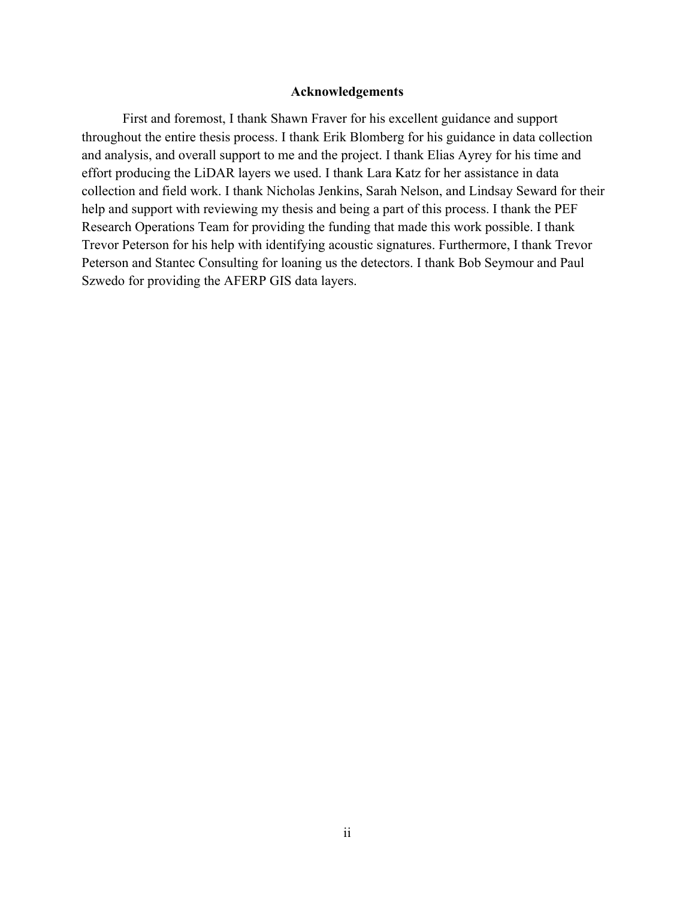#### **Acknowledgements**

First and foremost, I thank Shawn Fraver for his excellent guidance and support throughout the entire thesis process. I thank Erik Blomberg for his guidance in data collection and analysis, and overall support to me and the project. I thank Elias Ayrey for his time and effort producing the LiDAR layers we used. I thank Lara Katz for her assistance in data collection and field work. I thank Nicholas Jenkins, Sarah Nelson, and Lindsay Seward for their help and support with reviewing my thesis and being a part of this process. I thank the PEF Research Operations Team for providing the funding that made this work possible. I thank Trevor Peterson for his help with identifying acoustic signatures. Furthermore, I thank Trevor Peterson and Stantec Consulting for loaning us the detectors. I thank Bob Seymour and Paul Szwedo for providing the AFERP GIS data layers.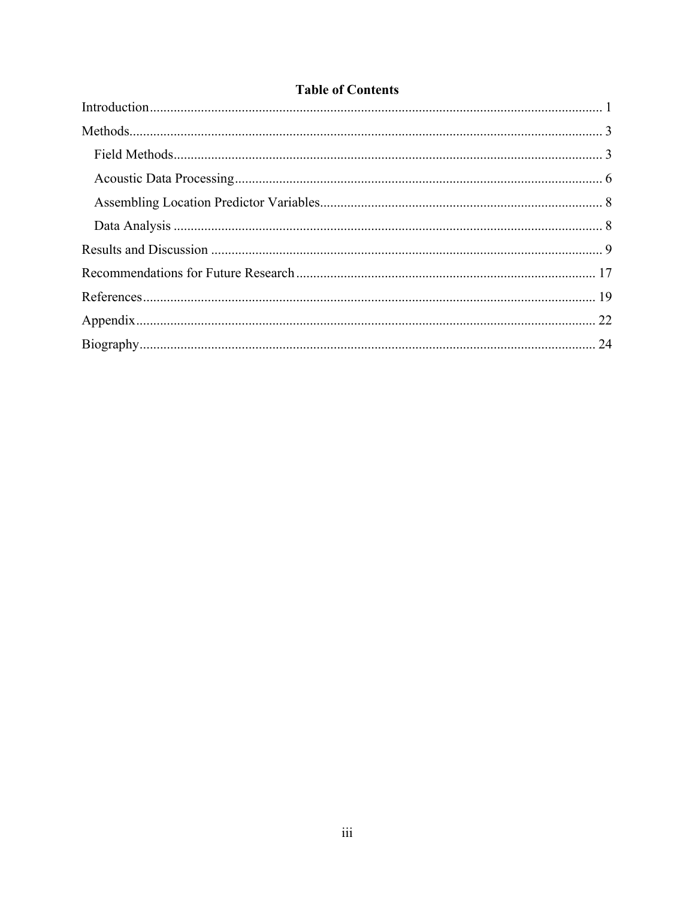|  | <b>Table of Contents</b> |
|--|--------------------------|
|--|--------------------------|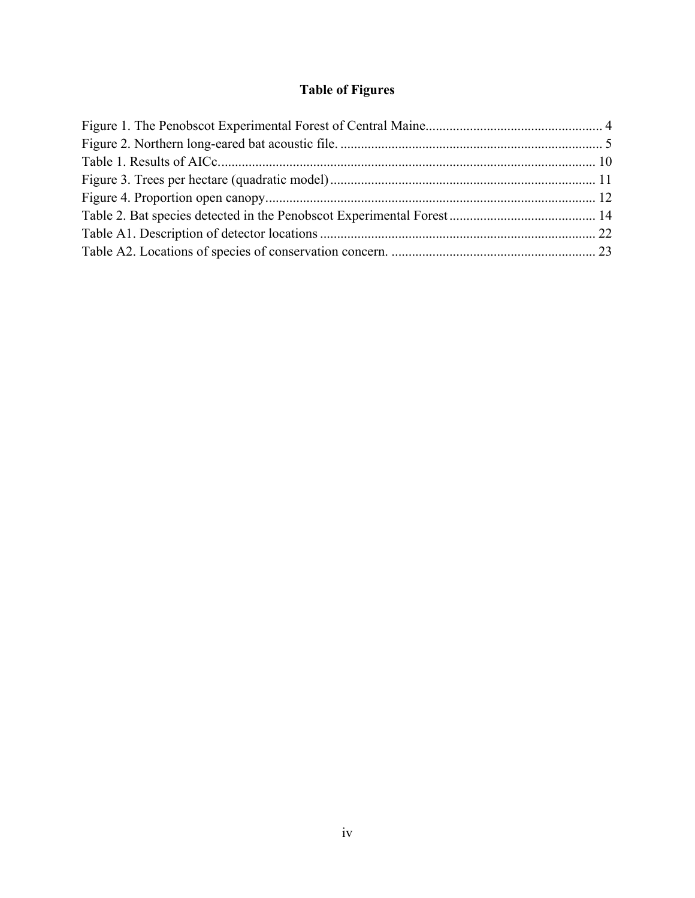## **Table of Figures**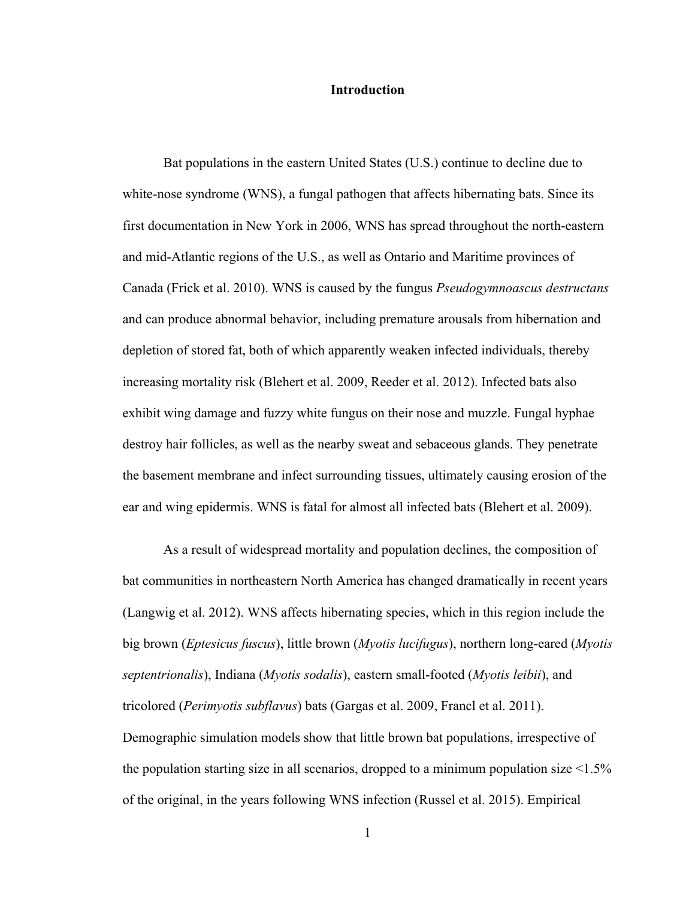#### **Introduction**

Bat populations in the eastern United States (U.S.) continue to decline due to white-nose syndrome (WNS), a fungal pathogen that affects hibernating bats. Since its first documentation in New York in 2006, WNS has spread throughout the north-eastern and mid-Atlantic regions of the U.S., as well as Ontario and Maritime provinces of Canada (Frick et al. 2010). WNS is caused by the fungus *Pseudogymnoascus destructans* and can produce abnormal behavior, including premature arousals from hibernation and depletion of stored fat, both of which apparently weaken infected individuals, thereby increasing mortality risk (Blehert et al. 2009, Reeder et al. 2012). Infected bats also exhibit wing damage and fuzzy white fungus on their nose and muzzle. Fungal hyphae destroy hair follicles, as well as the nearby sweat and sebaceous glands. They penetrate the basement membrane and infect surrounding tissues, ultimately causing erosion of the ear and wing epidermis. WNS is fatal for almost all infected bats (Blehert et al. 2009).

As a result of widespread mortality and population declines, the composition of bat communities in northeastern North America has changed dramatically in recent years (Langwig et al. 2012). WNS affects hibernating species, which in this region include the big brown (*Eptesicus fuscus*), little brown (*Myotis lucifugus*), northern long-eared (*Myotis septentrionalis*), Indiana (*Myotis sodalis*), eastern small-footed (*Myotis leibii*), and tricolored (*Perimyotis subflavus*) bats (Gargas et al. 2009, Francl et al. 2011). Demographic simulation models show that little brown bat populations, irrespective of the population starting size in all scenarios, dropped to a minimum population size  $\leq 1.5\%$ of the original, in the years following WNS infection (Russel et al. 2015). Empirical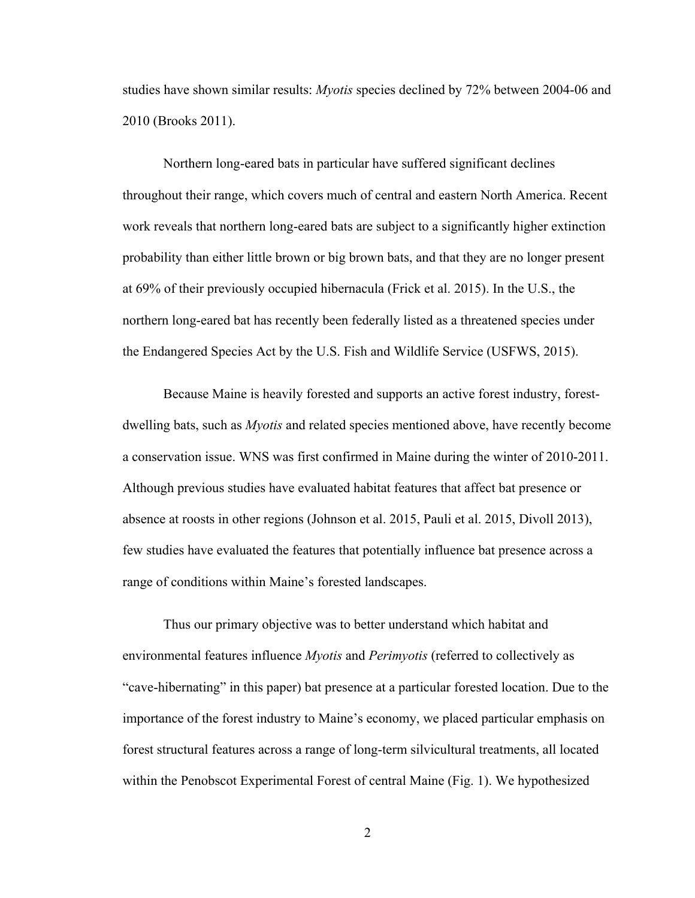studies have shown similar results: *Myotis* species declined by 72% between 2004-06 and 2010 (Brooks 2011).

Northern long-eared bats in particular have suffered significant declines throughout their range, which covers much of central and eastern North America. Recent work reveals that northern long-eared bats are subject to a significantly higher extinction probability than either little brown or big brown bats, and that they are no longer present at 69% of their previously occupied hibernacula (Frick et al. 2015). In the U.S., the northern long-eared bat has recently been federally listed as a threatened species under the Endangered Species Act by the U.S. Fish and Wildlife Service (USFWS, 2015).

Because Maine is heavily forested and supports an active forest industry, forestdwelling bats, such as *Myotis* and related species mentioned above, have recently become a conservation issue. WNS was first confirmed in Maine during the winter of 2010-2011. Although previous studies have evaluated habitat features that affect bat presence or absence at roosts in other regions (Johnson et al. 2015, Pauli et al. 2015, Divoll 2013), few studies have evaluated the features that potentially influence bat presence across a range of conditions within Maine's forested landscapes.

Thus our primary objective was to better understand which habitat and environmental features influence *Myotis* and *Perimyotis* (referred to collectively as "cave-hibernating" in this paper) bat presence at a particular forested location. Due to the importance of the forest industry to Maine's economy, we placed particular emphasis on forest structural features across a range of long-term silvicultural treatments, all located within the Penobscot Experimental Forest of central Maine (Fig. 1). We hypothesized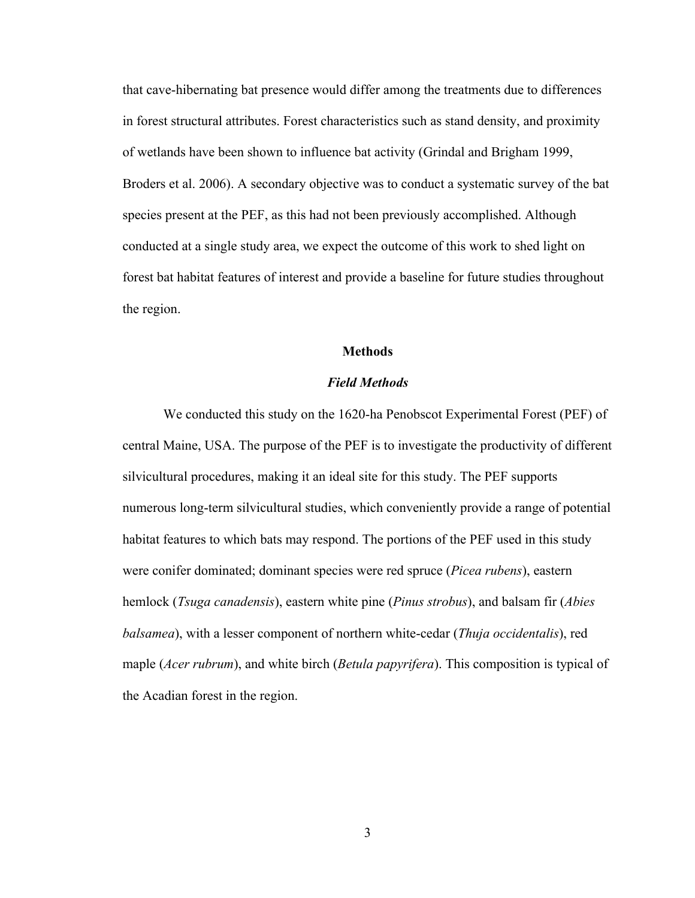that cave-hibernating bat presence would differ among the treatments due to differences in forest structural attributes. Forest characteristics such as stand density, and proximity of wetlands have been shown to influence bat activity (Grindal and Brigham 1999, Broders et al. 2006). A secondary objective was to conduct a systematic survey of the bat species present at the PEF, as this had not been previously accomplished. Although conducted at a single study area, we expect the outcome of this work to shed light on forest bat habitat features of interest and provide a baseline for future studies throughout the region.

#### **Methods**

#### *Field Methods*

We conducted this study on the 1620-ha Penobscot Experimental Forest (PEF) of central Maine, USA. The purpose of the PEF is to investigate the productivity of different silvicultural procedures, making it an ideal site for this study. The PEF supports numerous long-term silvicultural studies, which conveniently provide a range of potential habitat features to which bats may respond. The portions of the PEF used in this study were conifer dominated; dominant species were red spruce (*Picea rubens*), eastern hemlock (*Tsuga canadensis*), eastern white pine (*Pinus strobus*), and balsam fir (*Abies balsamea*), with a lesser component of northern white-cedar (*Thuja occidentalis*), red maple (*Acer rubrum*), and white birch (*Betula papyrifera*). This composition is typical of the Acadian forest in the region.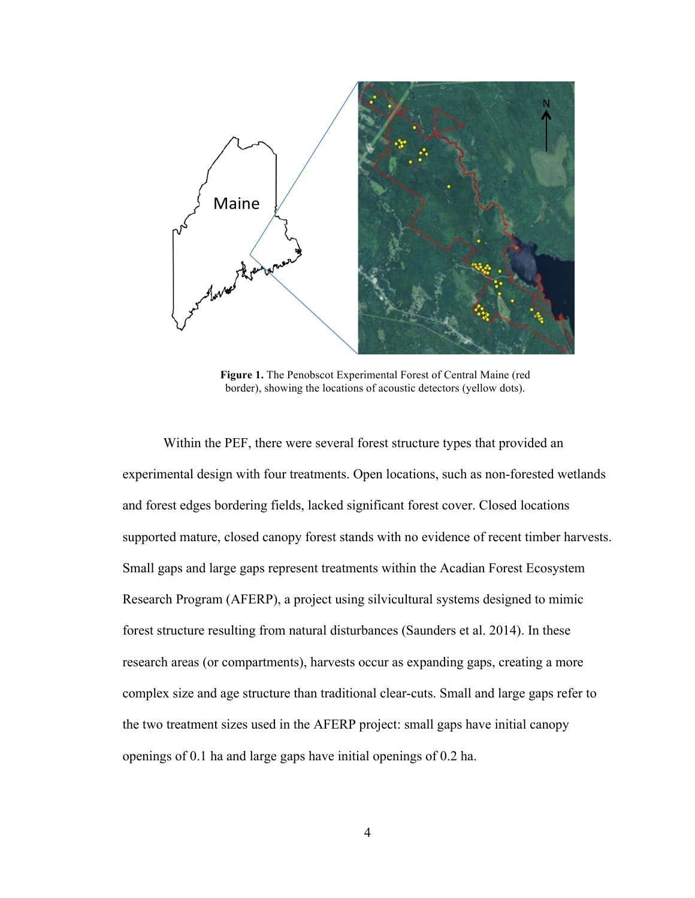

**Figure 1.** The Penobscot Experimental Forest of Central Maine (red border), showing the locations of acoustic detectors (yellow dots).

Within the PEF, there were several forest structure types that provided an experimental design with four treatments. Open locations, such as non-forested wetlands and forest edges bordering fields, lacked significant forest cover. Closed locations supported mature, closed canopy forest stands with no evidence of recent timber harvests. Small gaps and large gaps represent treatments within the Acadian Forest Ecosystem Research Program (AFERP), a project using silvicultural systems designed to mimic forest structure resulting from natural disturbances (Saunders et al. 2014). In these research areas (or compartments), harvests occur as expanding gaps, creating a more complex size and age structure than traditional clear-cuts. Small and large gaps refer to the two treatment sizes used in the AFERP project: small gaps have initial canopy openings of 0.1 ha and large gaps have initial openings of 0.2 ha.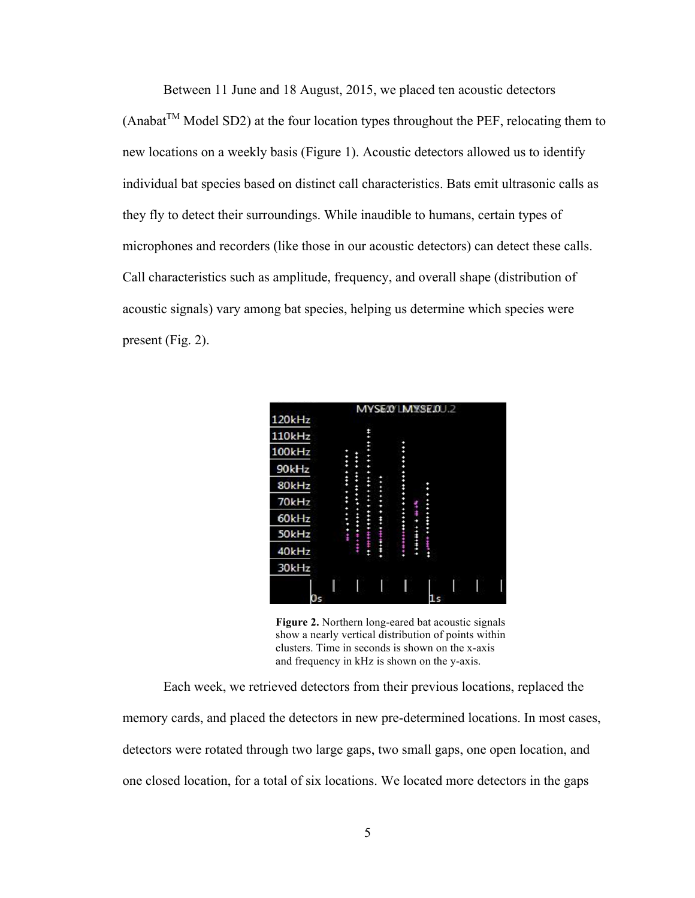Between 11 June and 18 August, 2015, we placed ten acoustic detectors  $(Anabat<sup>TM</sup> Model SD2)$  at the four location types throughout the PEF, relocating them to new locations on a weekly basis (Figure 1). Acoustic detectors allowed us to identify individual bat species based on distinct call characteristics. Bats emit ultrasonic calls as they fly to detect their surroundings. While inaudible to humans, certain types of microphones and recorders (like those in our acoustic detectors) can detect these calls. Call characteristics such as amplitude, frequency, and overall shape (distribution of acoustic signals) vary among bat species, helping us determine which species were present (Fig. 2).



**Figure 2.** Northern long-eared bat acoustic signals show a nearly vertical distribution of points within clusters. Time in seconds is shown on the x-axis and frequency in kHz is shown on the y-axis.

Each week, we retrieved detectors from their previous locations, replaced the memory cards, and placed the detectors in new pre-determined locations. In most cases, detectors were rotated through two large gaps, two small gaps, one open location, and one closed location, for a total of six locations. We located more detectors in the gaps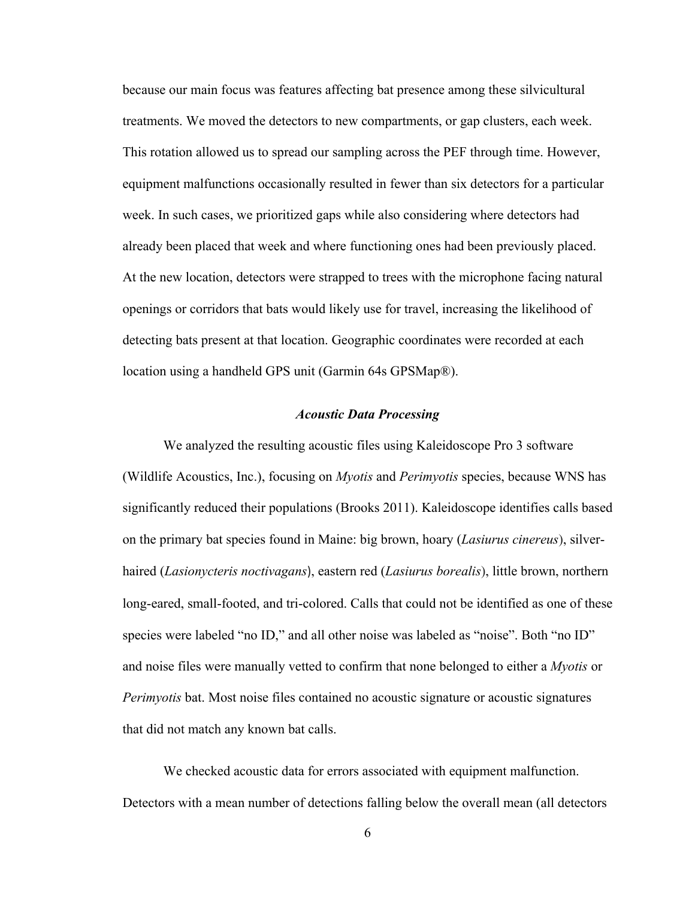because our main focus was features affecting bat presence among these silvicultural treatments. We moved the detectors to new compartments, or gap clusters, each week. This rotation allowed us to spread our sampling across the PEF through time. However, equipment malfunctions occasionally resulted in fewer than six detectors for a particular week. In such cases, we prioritized gaps while also considering where detectors had already been placed that week and where functioning ones had been previously placed. At the new location, detectors were strapped to trees with the microphone facing natural openings or corridors that bats would likely use for travel, increasing the likelihood of detecting bats present at that location. Geographic coordinates were recorded at each location using a handheld GPS unit (Garmin 64s GPSMap®).

#### *Acoustic Data Processing*

We analyzed the resulting acoustic files using Kaleidoscope Pro 3 software (Wildlife Acoustics, Inc.), focusing on *Myotis* and *Perimyotis* species, because WNS has significantly reduced their populations (Brooks 2011). Kaleidoscope identifies calls based on the primary bat species found in Maine: big brown, hoary (*Lasiurus cinereus*), silverhaired (*Lasionycteris noctivagans*), eastern red (*Lasiurus borealis*), little brown, northern long-eared, small-footed, and tri-colored. Calls that could not be identified as one of these species were labeled "no ID," and all other noise was labeled as "noise". Both "no ID" and noise files were manually vetted to confirm that none belonged to either a *Myotis* or *Perimyotis* bat. Most noise files contained no acoustic signature or acoustic signatures that did not match any known bat calls.

We checked acoustic data for errors associated with equipment malfunction. Detectors with a mean number of detections falling below the overall mean (all detectors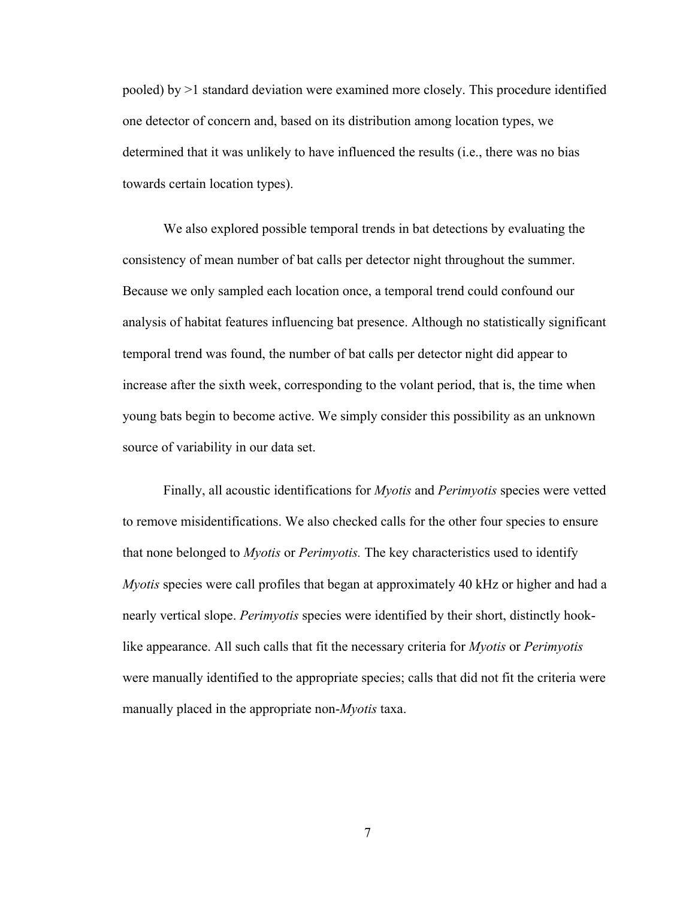pooled) by >1 standard deviation were examined more closely. This procedure identified one detector of concern and, based on its distribution among location types, we determined that it was unlikely to have influenced the results (i.e., there was no bias towards certain location types).

We also explored possible temporal trends in bat detections by evaluating the consistency of mean number of bat calls per detector night throughout the summer. Because we only sampled each location once, a temporal trend could confound our analysis of habitat features influencing bat presence. Although no statistically significant temporal trend was found, the number of bat calls per detector night did appear to increase after the sixth week, corresponding to the volant period, that is, the time when young bats begin to become active. We simply consider this possibility as an unknown source of variability in our data set.

Finally, all acoustic identifications for *Myotis* and *Perimyotis* species were vetted to remove misidentifications. We also checked calls for the other four species to ensure that none belonged to *Myotis* or *Perimyotis.* The key characteristics used to identify *Myotis* species were call profiles that began at approximately 40 kHz or higher and had a nearly vertical slope. *Perimyotis* species were identified by their short, distinctly hooklike appearance. All such calls that fit the necessary criteria for *Myotis* or *Perimyotis* were manually identified to the appropriate species; calls that did not fit the criteria were manually placed in the appropriate non-*Myotis* taxa.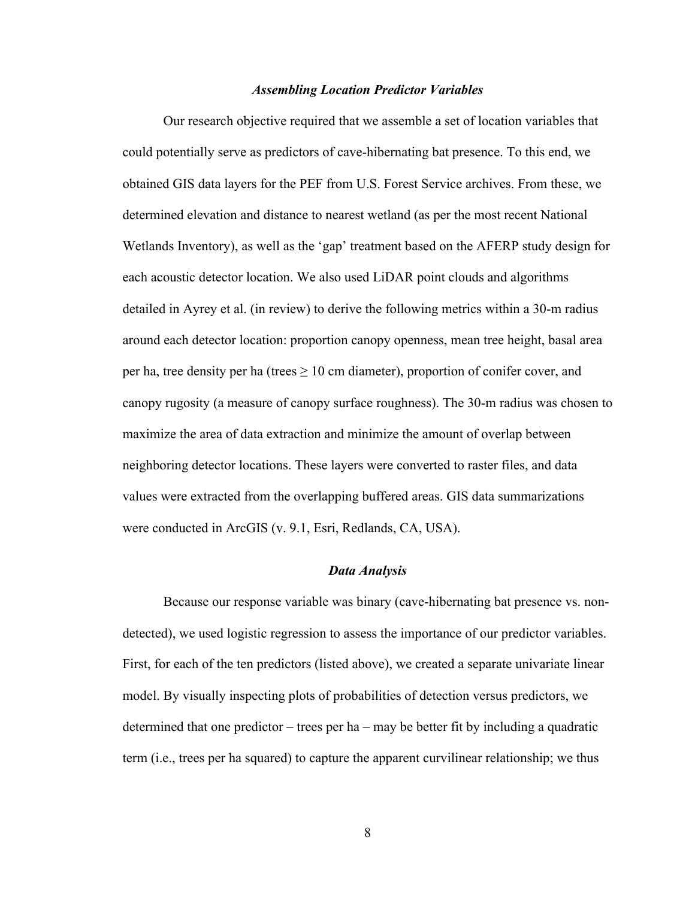#### *Assembling Location Predictor Variables*

Our research objective required that we assemble a set of location variables that could potentially serve as predictors of cave-hibernating bat presence. To this end, we obtained GIS data layers for the PEF from U.S. Forest Service archives. From these, we determined elevation and distance to nearest wetland (as per the most recent National Wetlands Inventory), as well as the 'gap' treatment based on the AFERP study design for each acoustic detector location. We also used LiDAR point clouds and algorithms detailed in Ayrey et al. (in review) to derive the following metrics within a 30-m radius around each detector location: proportion canopy openness, mean tree height, basal area per ha, tree density per ha (trees  $\geq 10$  cm diameter), proportion of conifer cover, and canopy rugosity (a measure of canopy surface roughness). The 30-m radius was chosen to maximize the area of data extraction and minimize the amount of overlap between neighboring detector locations. These layers were converted to raster files, and data values were extracted from the overlapping buffered areas. GIS data summarizations were conducted in ArcGIS (v. 9.1, Esri, Redlands, CA, USA).

#### *Data Analysis*

Because our response variable was binary (cave-hibernating bat presence vs. nondetected), we used logistic regression to assess the importance of our predictor variables. First, for each of the ten predictors (listed above), we created a separate univariate linear model. By visually inspecting plots of probabilities of detection versus predictors, we determined that one predictor – trees per ha – may be better fit by including a quadratic term (i.e., trees per ha squared) to capture the apparent curvilinear relationship; we thus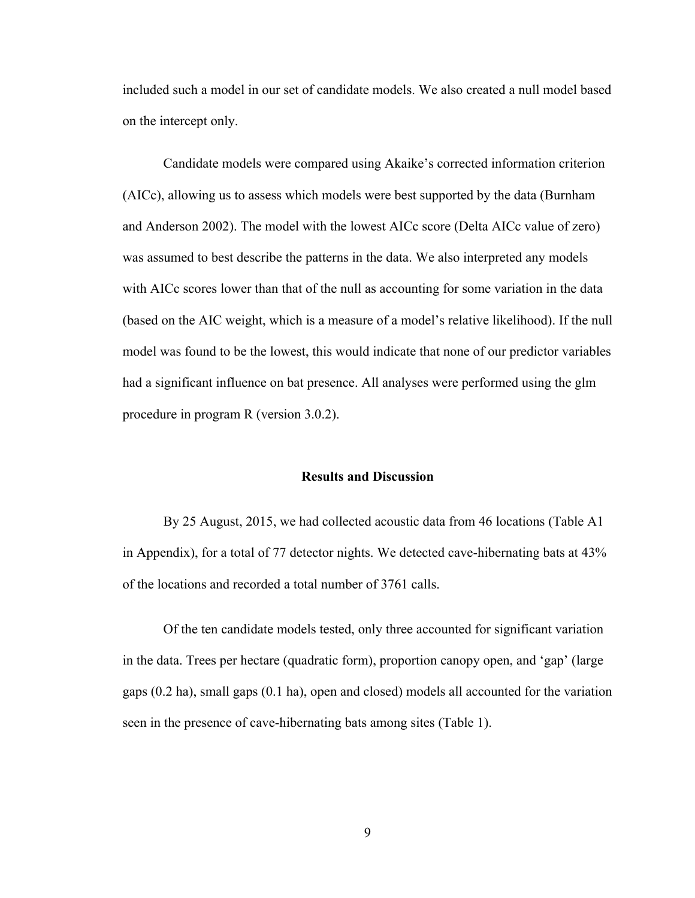included such a model in our set of candidate models. We also created a null model based on the intercept only.

Candidate models were compared using Akaike's corrected information criterion (AICc), allowing us to assess which models were best supported by the data (Burnham and Anderson 2002). The model with the lowest AICc score (Delta AICc value of zero) was assumed to best describe the patterns in the data. We also interpreted any models with AICc scores lower than that of the null as accounting for some variation in the data (based on the AIC weight, which is a measure of a model's relative likelihood). If the null model was found to be the lowest, this would indicate that none of our predictor variables had a significant influence on bat presence. All analyses were performed using the glm procedure in program R (version 3.0.2).

#### **Results and Discussion**

By 25 August, 2015, we had collected acoustic data from 46 locations (Table A1 in Appendix), for a total of 77 detector nights. We detected cave-hibernating bats at 43% of the locations and recorded a total number of 3761 calls.

Of the ten candidate models tested, only three accounted for significant variation in the data. Trees per hectare (quadratic form), proportion canopy open, and 'gap' (large gaps (0.2 ha), small gaps (0.1 ha), open and closed) models all accounted for the variation seen in the presence of cave-hibernating bats among sites (Table 1).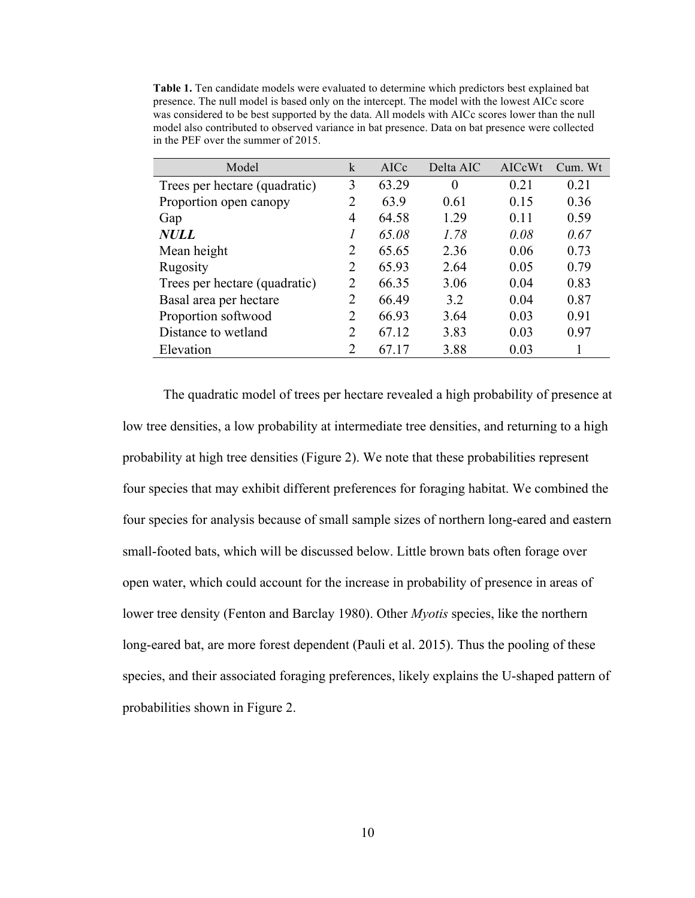**Table 1.** Ten candidate models were evaluated to determine which predictors best explained bat presence. The null model is based only on the intercept. The model with the lowest AICc score was considered to be best supported by the data. All models with AICc scores lower than the null model also contributed to observed variance in bat presence. Data on bat presence were collected in the PEF over the summer of 2015.

| Model                         | k              | AICc  | Delta AIC | AICcWt | Cum. Wt |
|-------------------------------|----------------|-------|-----------|--------|---------|
| Trees per hectare (quadratic) | 3              | 63.29 | $\theta$  | 0.21   | 0.21    |
| Proportion open canopy        | 2              | 63.9  | 0.61      | 0.15   | 0.36    |
| Gap                           | 4              | 64.58 | 1.29      | 0.11   | 0.59    |
| <b>NULL</b>                   | 1              | 65.08 | 1.78      | 0.08   | 0.67    |
| Mean height                   | $\overline{2}$ | 65.65 | 2.36      | 0.06   | 0.73    |
| Rugosity                      | $\overline{2}$ | 65.93 | 2.64      | 0.05   | 0.79    |
| Trees per hectare (quadratic) | $\overline{2}$ | 66.35 | 3.06      | 0.04   | 0.83    |
| Basal area per hectare        | $\overline{2}$ | 66.49 | 3.2       | 0.04   | 0.87    |
| Proportion softwood           | $\overline{2}$ | 66.93 | 3.64      | 0.03   | 0.91    |
| Distance to wetland           | 2              | 67.12 | 3.83      | 0.03   | 0.97    |
| Elevation                     | $\overline{2}$ | 67.17 | 3.88      | 0.03   |         |

The quadratic model of trees per hectare revealed a high probability of presence at low tree densities, a low probability at intermediate tree densities, and returning to a high probability at high tree densities (Figure 2). We note that these probabilities represent four species that may exhibit different preferences for foraging habitat. We combined the four species for analysis because of small sample sizes of northern long-eared and eastern small-footed bats, which will be discussed below. Little brown bats often forage over open water, which could account for the increase in probability of presence in areas of lower tree density (Fenton and Barclay 1980). Other *Myotis* species, like the northern long-eared bat, are more forest dependent (Pauli et al. 2015). Thus the pooling of these species, and their associated foraging preferences, likely explains the U-shaped pattern of probabilities shown in Figure 2.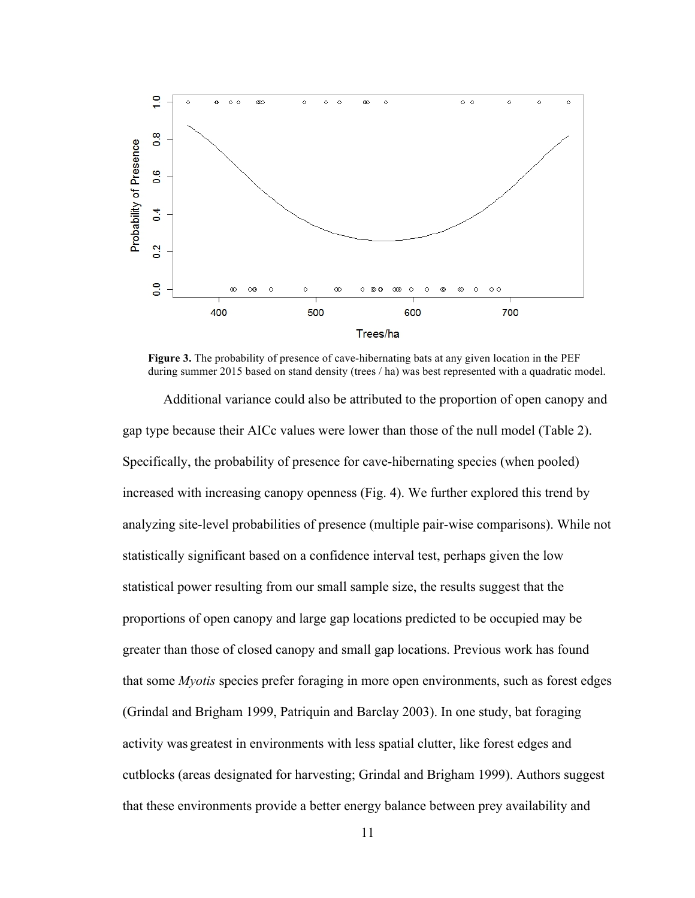

**Figure 3.** The probability of presence of cave-hibernating bats at any given location in the PEF during summer 2015 based on stand density (trees / ha) was best represented with a quadratic model.

Additional variance could also be attributed to the proportion of open canopy and gap type because their AICc values were lower than those of the null model (Table 2). Specifically, the probability of presence for cave-hibernating species (when pooled) increased with increasing canopy openness (Fig. 4). We further explored this trend by analyzing site-level probabilities of presence (multiple pair-wise comparisons). While not statistically significant based on a confidence interval test, perhaps given the low statistical power resulting from our small sample size, the results suggest that the proportions of open canopy and large gap locations predicted to be occupied may be greater than those of closed canopy and small gap locations. Previous work has found that some *Myotis* species prefer foraging in more open environments, such as forest edges (Grindal and Brigham 1999, Patriquin and Barclay 2003). In one study, bat foraging activity was greatest in environments with less spatial clutter, like forest edges and cutblocks (areas designated for harvesting; Grindal and Brigham 1999). Authors suggest that these environments provide a better energy balance between prey availability and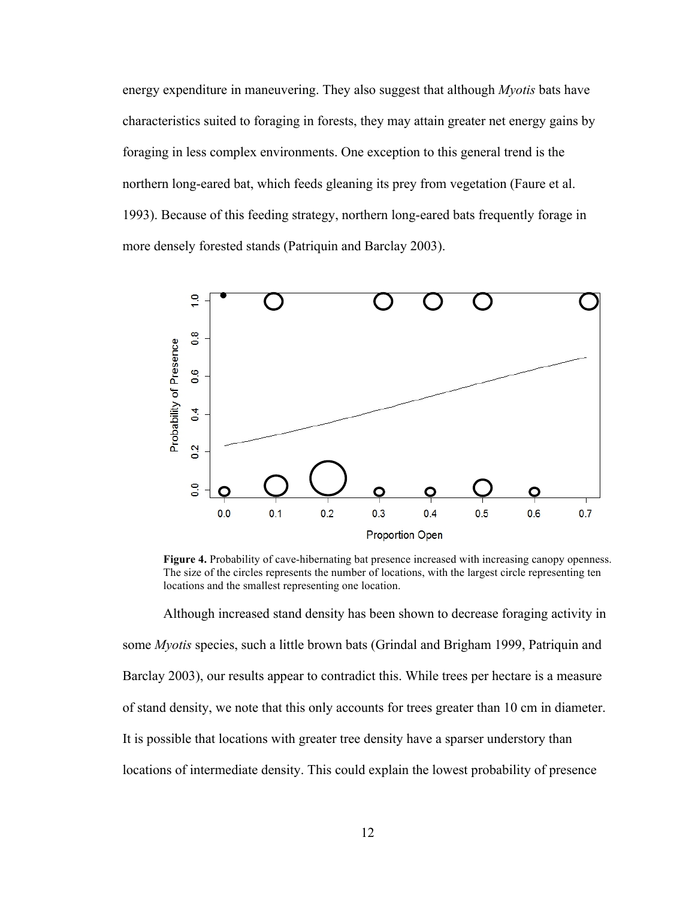energy expenditure in maneuvering. They also suggest that although *Myotis* bats have characteristics suited to foraging in forests, they may attain greater net energy gains by foraging in less complex environments. One exception to this general trend is the northern long-eared bat, which feeds gleaning its prey from vegetation (Faure et al. 1993). Because of this feeding strategy, northern long-eared bats frequently forage in more densely forested stands (Patriquin and Barclay 2003).



**Figure 4.** Probability of cave-hibernating bat presence increased with increasing canopy openness. The size of the circles represents the number of locations, with the largest circle representing ten locations and the smallest representing one location.

Although increased stand density has been shown to decrease foraging activity in some *Myotis* species, such a little brown bats (Grindal and Brigham 1999, Patriquin and Barclay 2003), our results appear to contradict this. While trees per hectare is a measure of stand density, we note that this only accounts for trees greater than 10 cm in diameter. It is possible that locations with greater tree density have a sparser understory than locations of intermediate density. This could explain the lowest probability of presence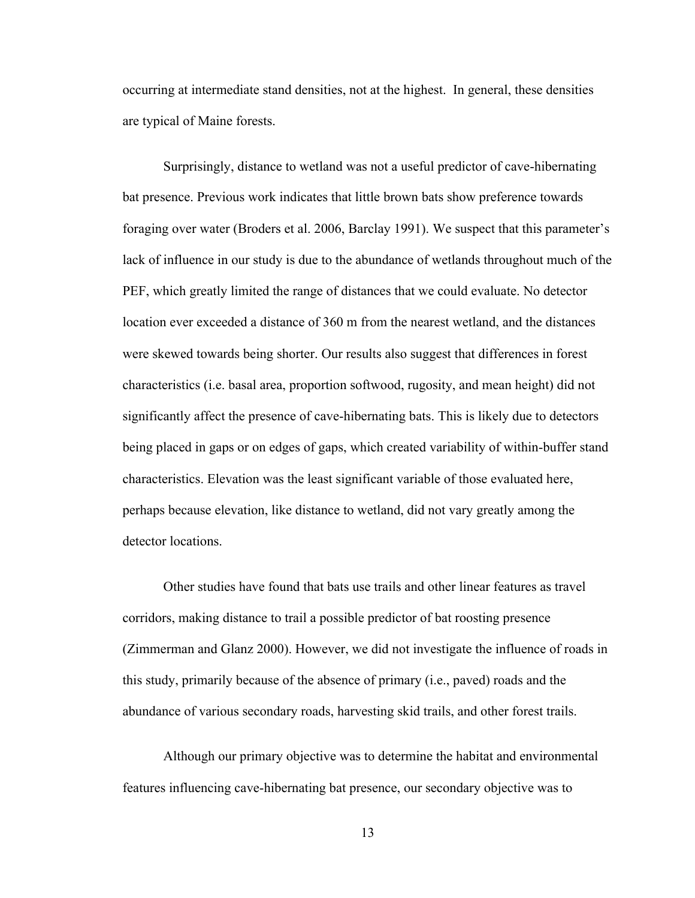occurring at intermediate stand densities, not at the highest. In general, these densities are typical of Maine forests.

Surprisingly, distance to wetland was not a useful predictor of cave-hibernating bat presence. Previous work indicates that little brown bats show preference towards foraging over water (Broders et al. 2006, Barclay 1991). We suspect that this parameter's lack of influence in our study is due to the abundance of wetlands throughout much of the PEF, which greatly limited the range of distances that we could evaluate. No detector location ever exceeded a distance of 360 m from the nearest wetland, and the distances were skewed towards being shorter. Our results also suggest that differences in forest characteristics (i.e. basal area, proportion softwood, rugosity, and mean height) did not significantly affect the presence of cave-hibernating bats. This is likely due to detectors being placed in gaps or on edges of gaps, which created variability of within-buffer stand characteristics. Elevation was the least significant variable of those evaluated here, perhaps because elevation, like distance to wetland, did not vary greatly among the detector locations.

Other studies have found that bats use trails and other linear features as travel corridors, making distance to trail a possible predictor of bat roosting presence (Zimmerman and Glanz 2000). However, we did not investigate the influence of roads in this study, primarily because of the absence of primary (i.e., paved) roads and the abundance of various secondary roads, harvesting skid trails, and other forest trails.

Although our primary objective was to determine the habitat and environmental features influencing cave-hibernating bat presence, our secondary objective was to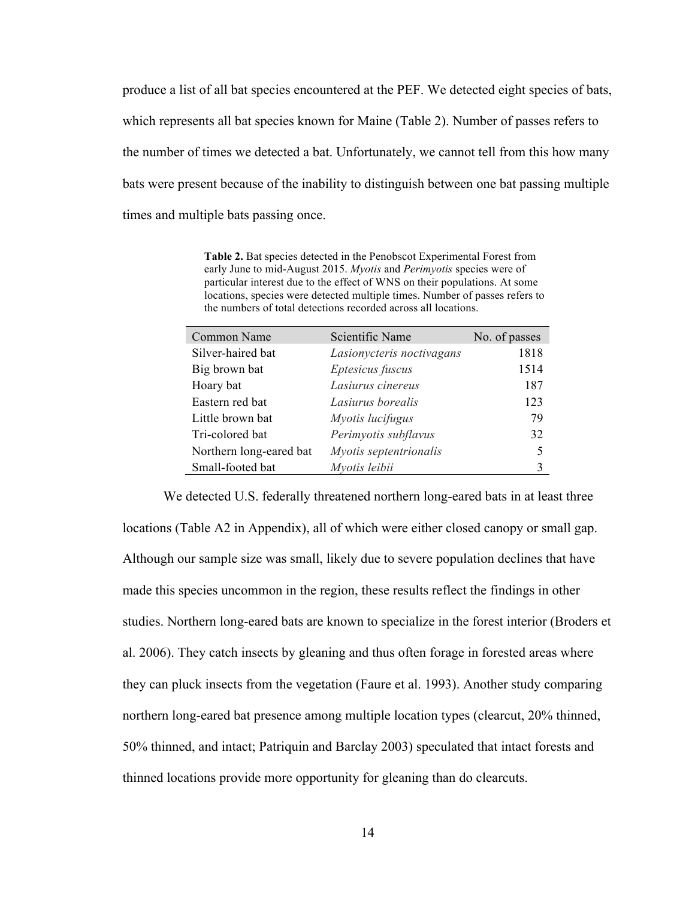produce a list of all bat species encountered at the PEF. We detected eight species of bats, which represents all bat species known for Maine (Table 2). Number of passes refers to the number of times we detected a bat. Unfortunately, we cannot tell from this how many bats were present because of the inability to distinguish between one bat passing multiple times and multiple bats passing once.

**Table 2.** Bat species detected in the Penobscot Experimental Forest from early June to mid-August 2015. *Myotis* and *Perimyotis* species were of particular interest due to the effect of WNS on their populations. At some locations, species were detected multiple times. Number of passes refers to the numbers of total detections recorded across all locations.

| Scientific Name           | No. of passes |
|---------------------------|---------------|
| Lasionycteris noctivagans | 1818          |
| Eptesicus fuscus          | 1514          |
| Lasiurus cinereus         | 187           |
| Lasiurus borealis         | 123           |
| Myotis lucifugus          | 79            |
| Perimyotis subflavus      | 32            |
| Myotis septentrionalis    | 5             |
| Myotis leibii             |               |
|                           |               |

We detected U.S. federally threatened northern long-eared bats in at least three locations (Table A2 in Appendix), all of which were either closed canopy or small gap. Although our sample size was small, likely due to severe population declines that have made this species uncommon in the region, these results reflect the findings in other studies. Northern long-eared bats are known to specialize in the forest interior (Broders et al. 2006). They catch insects by gleaning and thus often forage in forested areas where they can pluck insects from the vegetation (Faure et al. 1993). Another study comparing northern long-eared bat presence among multiple location types (clearcut, 20% thinned, 50% thinned, and intact; Patriquin and Barclay 2003) speculated that intact forests and thinned locations provide more opportunity for gleaning than do clearcuts.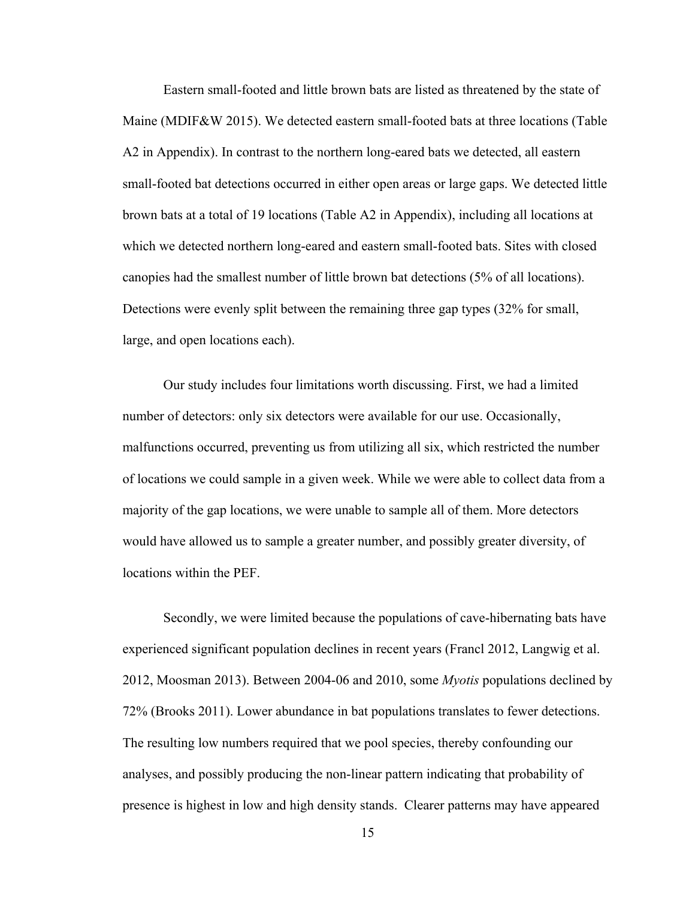Eastern small-footed and little brown bats are listed as threatened by the state of Maine (MDIF&W 2015). We detected eastern small-footed bats at three locations (Table A2 in Appendix). In contrast to the northern long-eared bats we detected, all eastern small-footed bat detections occurred in either open areas or large gaps. We detected little brown bats at a total of 19 locations (Table A2 in Appendix), including all locations at which we detected northern long-eared and eastern small-footed bats. Sites with closed canopies had the smallest number of little brown bat detections (5% of all locations). Detections were evenly split between the remaining three gap types (32% for small, large, and open locations each).

Our study includes four limitations worth discussing. First, we had a limited number of detectors: only six detectors were available for our use. Occasionally, malfunctions occurred, preventing us from utilizing all six, which restricted the number of locations we could sample in a given week. While we were able to collect data from a majority of the gap locations, we were unable to sample all of them. More detectors would have allowed us to sample a greater number, and possibly greater diversity, of locations within the PEF.

Secondly, we were limited because the populations of cave-hibernating bats have experienced significant population declines in recent years (Francl 2012, Langwig et al. 2012, Moosman 2013). Between 2004-06 and 2010, some *Myotis* populations declined by 72% (Brooks 2011). Lower abundance in bat populations translates to fewer detections. The resulting low numbers required that we pool species, thereby confounding our analyses, and possibly producing the non-linear pattern indicating that probability of presence is highest in low and high density stands. Clearer patterns may have appeared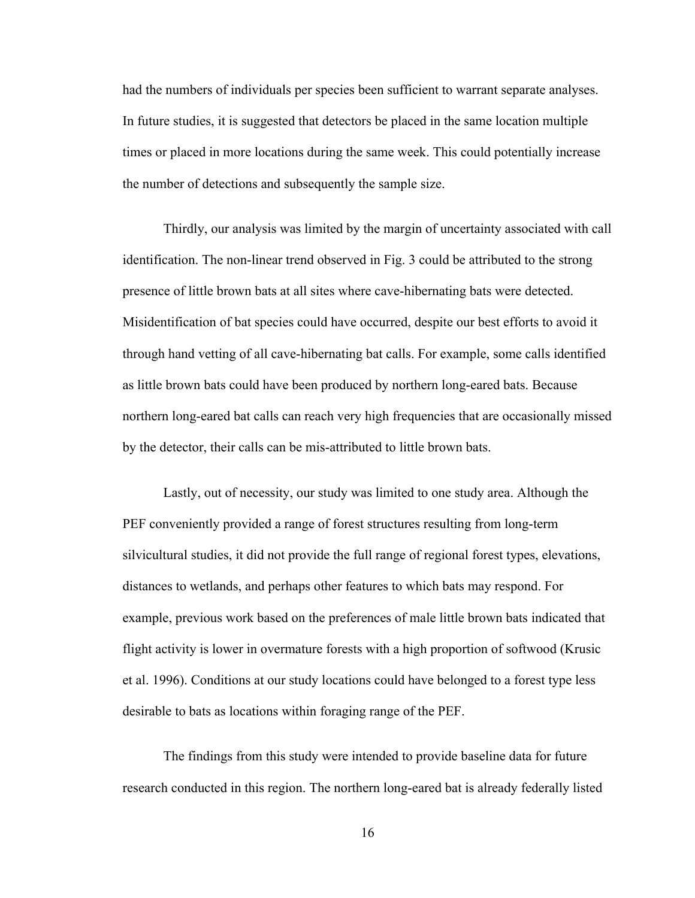had the numbers of individuals per species been sufficient to warrant separate analyses. In future studies, it is suggested that detectors be placed in the same location multiple times or placed in more locations during the same week. This could potentially increase the number of detections and subsequently the sample size.

Thirdly, our analysis was limited by the margin of uncertainty associated with call identification. The non-linear trend observed in Fig. 3 could be attributed to the strong presence of little brown bats at all sites where cave-hibernating bats were detected. Misidentification of bat species could have occurred, despite our best efforts to avoid it through hand vetting of all cave-hibernating bat calls. For example, some calls identified as little brown bats could have been produced by northern long-eared bats. Because northern long-eared bat calls can reach very high frequencies that are occasionally missed by the detector, their calls can be mis-attributed to little brown bats.

Lastly, out of necessity, our study was limited to one study area. Although the PEF conveniently provided a range of forest structures resulting from long-term silvicultural studies, it did not provide the full range of regional forest types, elevations, distances to wetlands, and perhaps other features to which bats may respond. For example, previous work based on the preferences of male little brown bats indicated that flight activity is lower in overmature forests with a high proportion of softwood (Krusic et al. 1996). Conditions at our study locations could have belonged to a forest type less desirable to bats as locations within foraging range of the PEF.

The findings from this study were intended to provide baseline data for future research conducted in this region. The northern long-eared bat is already federally listed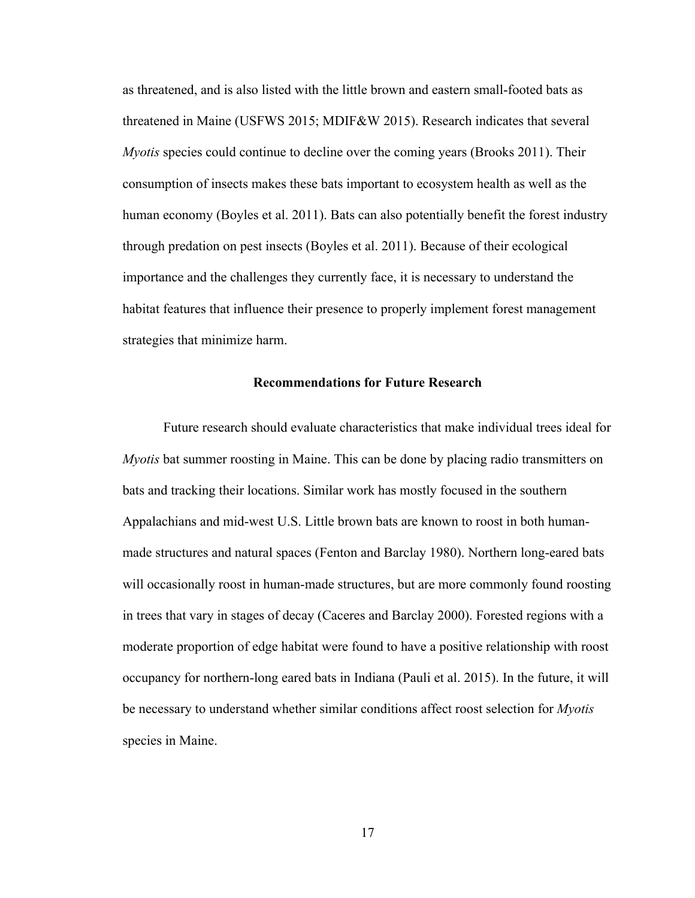as threatened, and is also listed with the little brown and eastern small-footed bats as threatened in Maine (USFWS 2015; MDIF&W 2015). Research indicates that several *Myotis* species could continue to decline over the coming years (Brooks 2011). Their consumption of insects makes these bats important to ecosystem health as well as the human economy (Boyles et al. 2011). Bats can also potentially benefit the forest industry through predation on pest insects (Boyles et al. 2011). Because of their ecological importance and the challenges they currently face, it is necessary to understand the habitat features that influence their presence to properly implement forest management strategies that minimize harm.

#### **Recommendations for Future Research**

Future research should evaluate characteristics that make individual trees ideal for *Myotis* bat summer roosting in Maine. This can be done by placing radio transmitters on bats and tracking their locations. Similar work has mostly focused in the southern Appalachians and mid-west U.S. Little brown bats are known to roost in both humanmade structures and natural spaces (Fenton and Barclay 1980). Northern long-eared bats will occasionally roost in human-made structures, but are more commonly found roosting in trees that vary in stages of decay (Caceres and Barclay 2000). Forested regions with a moderate proportion of edge habitat were found to have a positive relationship with roost occupancy for northern-long eared bats in Indiana (Pauli et al. 2015). In the future, it will be necessary to understand whether similar conditions affect roost selection for *Myotis*  species in Maine.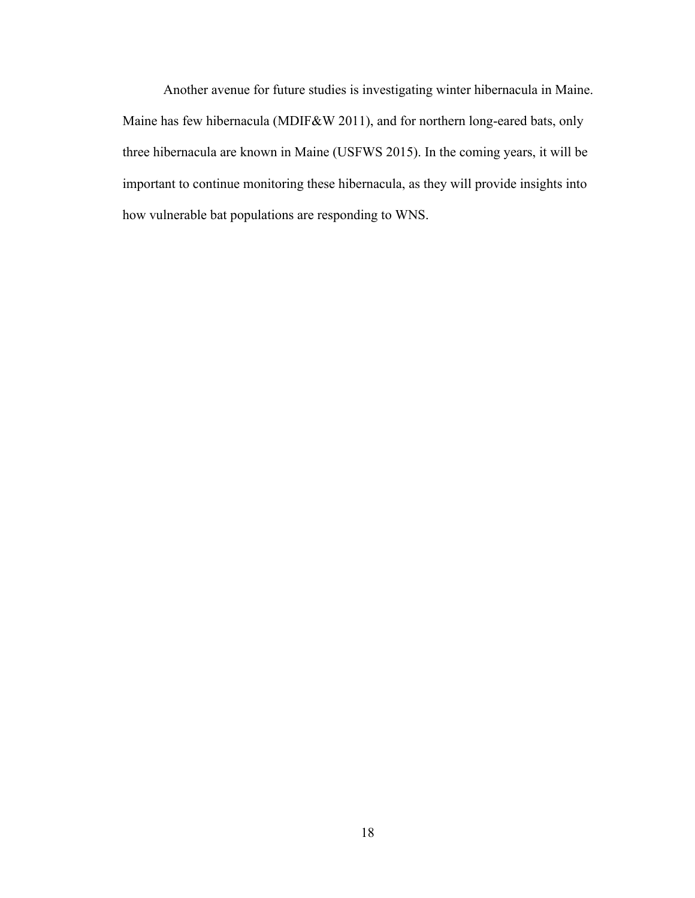Another avenue for future studies is investigating winter hibernacula in Maine. Maine has few hibernacula (MDIF&W 2011), and for northern long-eared bats, only three hibernacula are known in Maine (USFWS 2015). In the coming years, it will be important to continue monitoring these hibernacula, as they will provide insights into how vulnerable bat populations are responding to WNS.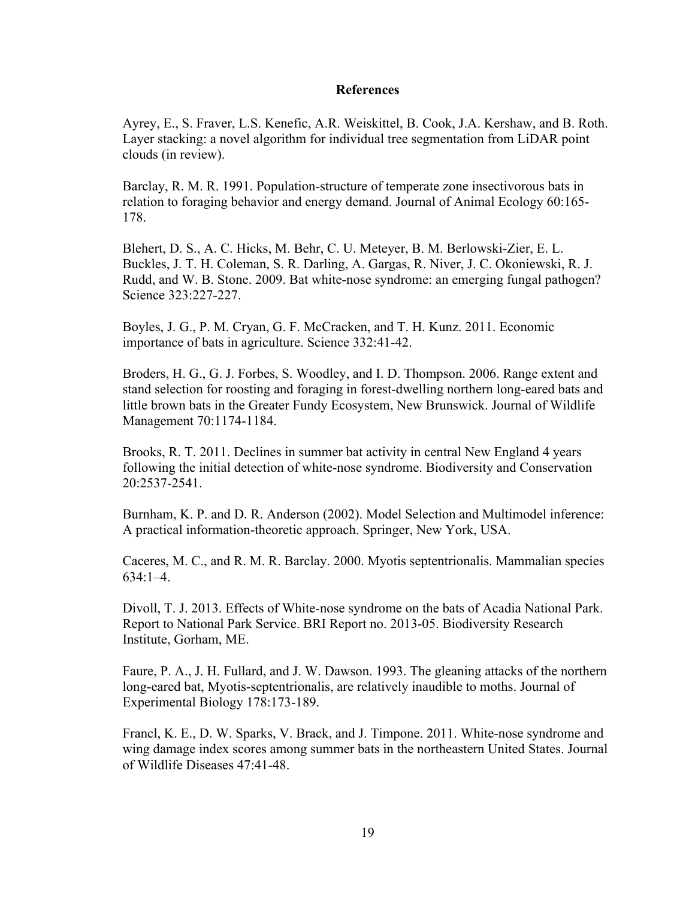#### **References**

Ayrey, E., S. Fraver, L.S. Kenefic, A.R. Weiskittel, B. Cook, J.A. Kershaw, and B. Roth. Layer stacking: a novel algorithm for individual tree segmentation from LiDAR point clouds (in review).

Barclay, R. M. R. 1991. Population-structure of temperate zone insectivorous bats in relation to foraging behavior and energy demand. Journal of Animal Ecology 60:165- 178.

Blehert, D. S., A. C. Hicks, M. Behr, C. U. Meteyer, B. M. Berlowski-Zier, E. L. Buckles, J. T. H. Coleman, S. R. Darling, A. Gargas, R. Niver, J. C. Okoniewski, R. J. Rudd, and W. B. Stone. 2009. Bat white-nose syndrome: an emerging fungal pathogen? Science 323:227-227.

Boyles, J. G., P. M. Cryan, G. F. McCracken, and T. H. Kunz. 2011. Economic importance of bats in agriculture. Science 332:41-42.

Broders, H. G., G. J. Forbes, S. Woodley, and I. D. Thompson. 2006. Range extent and stand selection for roosting and foraging in forest-dwelling northern long-eared bats and little brown bats in the Greater Fundy Ecosystem, New Brunswick. Journal of Wildlife Management 70:1174-1184.

Brooks, R. T. 2011. Declines in summer bat activity in central New England 4 years following the initial detection of white-nose syndrome. Biodiversity and Conservation 20:2537-2541.

Burnham, K. P. and D. R. Anderson (2002). Model Selection and Multimodel inference: A practical information-theoretic approach. Springer, New York, USA.

Caceres, M. C., and R. M. R. Barclay. 2000. Myotis septentrionalis. Mammalian species 634:1–4.

Divoll, T. J. 2013. Effects of White-nose syndrome on the bats of Acadia National Park. Report to National Park Service. BRI Report no. 2013-05. Biodiversity Research Institute, Gorham, ME.

Faure, P. A., J. H. Fullard, and J. W. Dawson. 1993. The gleaning attacks of the northern long-eared bat, Myotis-septentrionalis, are relatively inaudible to moths. Journal of Experimental Biology 178:173-189.

Francl, K. E., D. W. Sparks, V. Brack, and J. Timpone. 2011. White-nose syndrome and wing damage index scores among summer bats in the northeastern United States. Journal of Wildlife Diseases 47:41-48.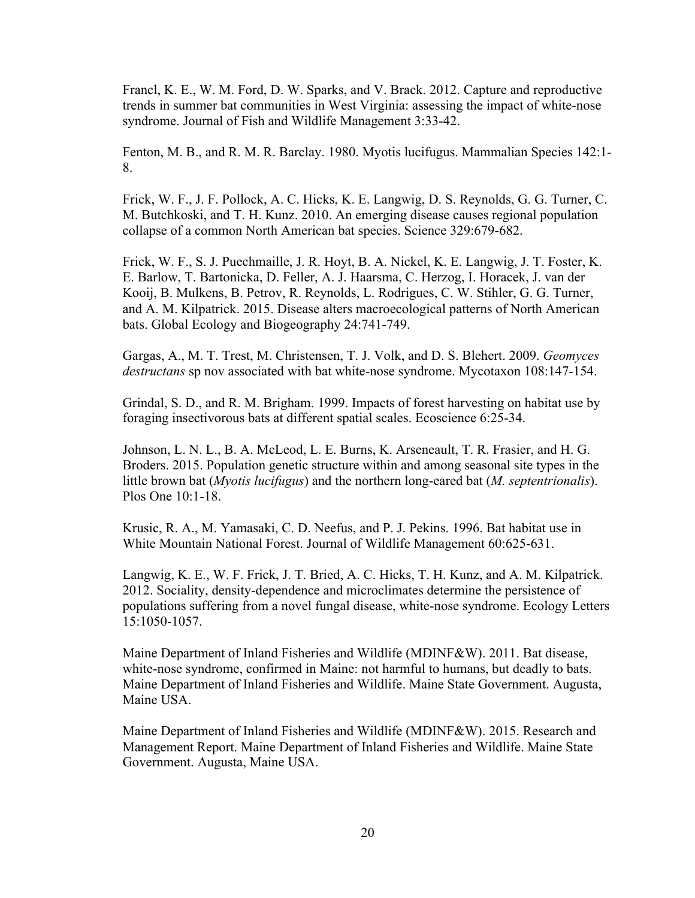Francl, K. E., W. M. Ford, D. W. Sparks, and V. Brack. 2012. Capture and reproductive trends in summer bat communities in West Virginia: assessing the impact of white-nose syndrome. Journal of Fish and Wildlife Management 3:33-42.

Fenton, M. B., and R. M. R. Barclay. 1980. Myotis lucifugus. Mammalian Species 142:1- 8.

Frick, W. F., J. F. Pollock, A. C. Hicks, K. E. Langwig, D. S. Reynolds, G. G. Turner, C. M. Butchkoski, and T. H. Kunz. 2010. An emerging disease causes regional population collapse of a common North American bat species. Science 329:679-682.

Frick, W. F., S. J. Puechmaille, J. R. Hoyt, B. A. Nickel, K. E. Langwig, J. T. Foster, K. E. Barlow, T. Bartonicka, D. Feller, A. J. Haarsma, C. Herzog, I. Horacek, J. van der Kooij, B. Mulkens, B. Petrov, R. Reynolds, L. Rodrigues, C. W. Stihler, G. G. Turner, and A. M. Kilpatrick. 2015. Disease alters macroecological patterns of North American bats. Global Ecology and Biogeography 24:741-749.

Gargas, A., M. T. Trest, M. Christensen, T. J. Volk, and D. S. Blehert. 2009. *Geomyces destructans* sp nov associated with bat white-nose syndrome. Mycotaxon 108:147-154.

Grindal, S. D., and R. M. Brigham. 1999. Impacts of forest harvesting on habitat use by foraging insectivorous bats at different spatial scales. Ecoscience 6:25-34.

Johnson, L. N. L., B. A. McLeod, L. E. Burns, K. Arseneault, T. R. Frasier, and H. G. Broders. 2015. Population genetic structure within and among seasonal site types in the little brown bat (*Myotis lucifugus*) and the northern long-eared bat (*M. septentrionalis*). Plos One 10:1-18.

Krusic, R. A., M. Yamasaki, C. D. Neefus, and P. J. Pekins. 1996. Bat habitat use in White Mountain National Forest. Journal of Wildlife Management 60:625-631.

Langwig, K. E., W. F. Frick, J. T. Bried, A. C. Hicks, T. H. Kunz, and A. M. Kilpatrick. 2012. Sociality, density-dependence and microclimates determine the persistence of populations suffering from a novel fungal disease, white-nose syndrome. Ecology Letters 15:1050-1057.

Maine Department of Inland Fisheries and Wildlife (MDINF&W). 2011. Bat disease, white-nose syndrome, confirmed in Maine: not harmful to humans, but deadly to bats. Maine Department of Inland Fisheries and Wildlife. Maine State Government. Augusta, Maine USA.

Maine Department of Inland Fisheries and Wildlife (MDINF&W). 2015. Research and Management Report. Maine Department of Inland Fisheries and Wildlife. Maine State Government. Augusta, Maine USA.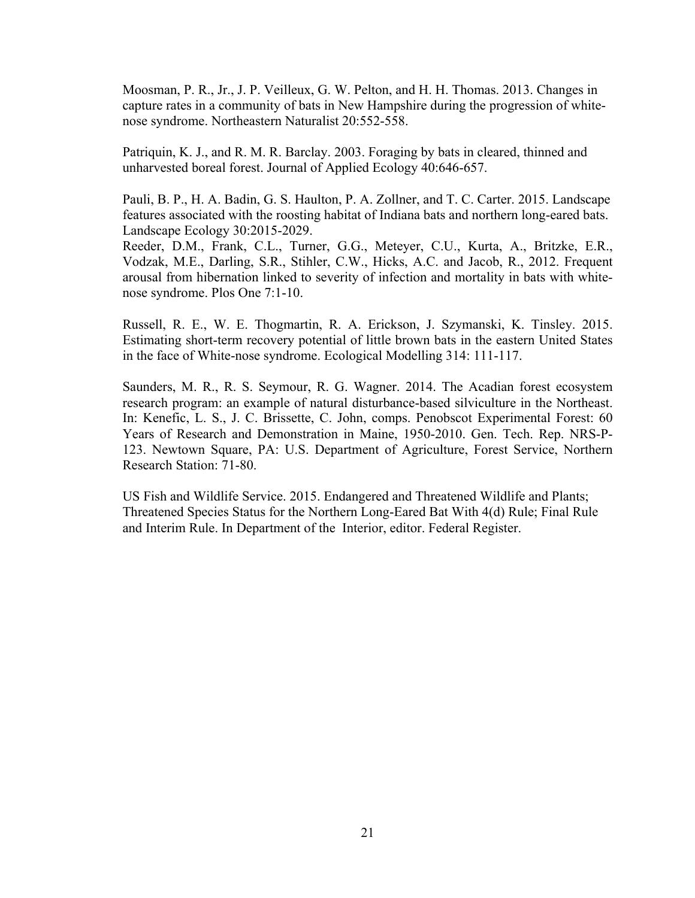Moosman, P. R., Jr., J. P. Veilleux, G. W. Pelton, and H. H. Thomas. 2013. Changes in capture rates in a community of bats in New Hampshire during the progression of whitenose syndrome. Northeastern Naturalist 20:552-558.

Patriquin, K. J., and R. M. R. Barclay. 2003. Foraging by bats in cleared, thinned and unharvested boreal forest. Journal of Applied Ecology 40:646-657.

Pauli, B. P., H. A. Badin, G. S. Haulton, P. A. Zollner, and T. C. Carter. 2015. Landscape features associated with the roosting habitat of Indiana bats and northern long-eared bats. Landscape Ecology 30:2015-2029.

Reeder, D.M., Frank, C.L., Turner, G.G., Meteyer, C.U., Kurta, A., Britzke, E.R., Vodzak, M.E., Darling, S.R., Stihler, C.W., Hicks, A.C. and Jacob, R., 2012. Frequent arousal from hibernation linked to severity of infection and mortality in bats with whitenose syndrome. Plos One 7:1-10.

Russell, R. E., W. E. Thogmartin, R. A. Erickson, J. Szymanski, K. Tinsley. 2015. Estimating short-term recovery potential of little brown bats in the eastern United States in the face of White-nose syndrome. Ecological Modelling 314: 111-117.

Saunders, M. R., R. S. Seymour, R. G. Wagner. 2014. The Acadian forest ecosystem research program: an example of natural disturbance-based silviculture in the Northeast. In: Kenefic, L. S., J. C. Brissette, C. John, comps. Penobscot Experimental Forest: 60 Years of Research and Demonstration in Maine, 1950-2010. Gen. Tech. Rep. NRS-P-123. Newtown Square, PA: U.S. Department of Agriculture, Forest Service, Northern Research Station: 71-80.

US Fish and Wildlife Service. 2015. Endangered and Threatened Wildlife and Plants; Threatened Species Status for the Northern Long-Eared Bat With 4(d) Rule; Final Rule and Interim Rule. In Department of the Interior, editor. Federal Register.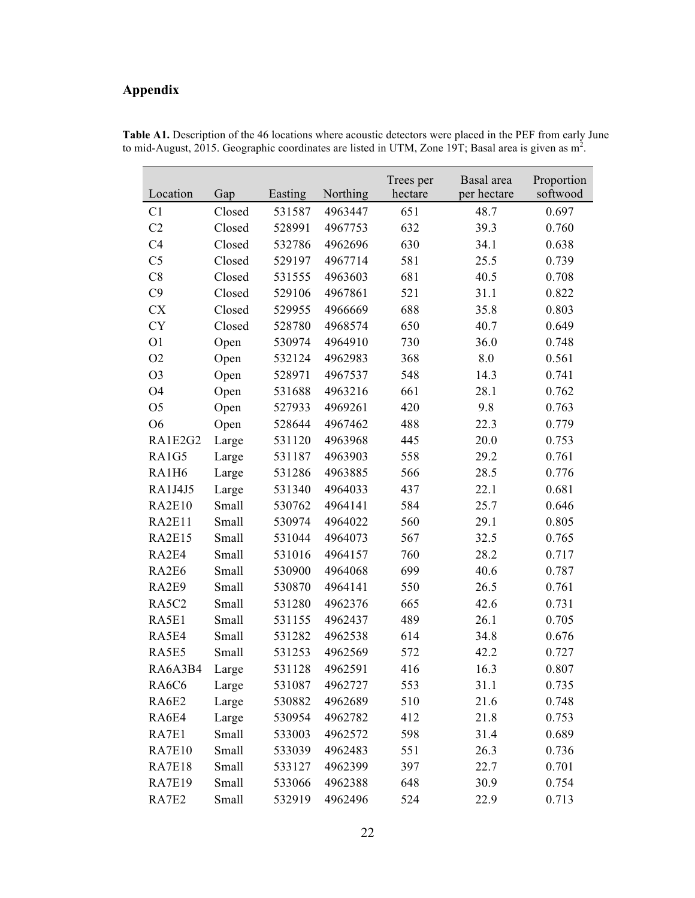## **Appendix**

| Location                       | Gap    | Easting | Northing | Trees per<br>hectare | Basal area<br>per hectare | Proportion<br>softwood |
|--------------------------------|--------|---------|----------|----------------------|---------------------------|------------------------|
| C <sub>1</sub>                 | Closed | 531587  | 4963447  | 651                  | 48.7                      | 0.697                  |
| C <sub>2</sub>                 | Closed | 528991  | 4967753  | 632                  | 39.3                      | 0.760                  |
| C <sub>4</sub>                 | Closed | 532786  | 4962696  | 630                  | 34.1                      | 0.638                  |
| C <sub>5</sub>                 | Closed | 529197  | 4967714  | 581                  | 25.5                      | 0.739                  |
| C8                             | Closed | 531555  | 4963603  | 681                  | 40.5                      | 0.708                  |
| C9                             | Closed | 529106  | 4967861  | 521                  | 31.1                      | 0.822                  |
| <b>CX</b>                      | Closed | 529955  | 4966669  | 688                  | 35.8                      | 0.803                  |
| <b>CY</b>                      | Closed | 528780  | 4968574  | 650                  | 40.7                      | 0.649                  |
| O <sub>1</sub>                 | Open   | 530974  | 4964910  | 730                  | 36.0                      | 0.748                  |
| O <sub>2</sub>                 | Open   | 532124  | 4962983  | 368                  | 8.0                       | 0.561                  |
| O <sub>3</sub>                 | Open   | 528971  | 4967537  | 548                  | 14.3                      | 0.741                  |
| O4                             | Open   | 531688  | 4963216  | 661                  | 28.1                      | 0.762                  |
| O <sub>5</sub>                 | Open   | 527933  | 4969261  | 420                  | 9.8                       | 0.763                  |
| O <sub>6</sub>                 | Open   | 528644  | 4967462  | 488                  | 22.3                      | 0.779                  |
| RA1E2G2                        | Large  | 531120  | 4963968  | 445                  | 20.0                      | 0.753                  |
| RA1G5                          | Large  | 531187  | 4963903  | 558                  | 29.2                      | 0.761                  |
| RA1H6                          | Large  | 531286  | 4963885  | 566                  | 28.5                      | 0.776                  |
| <b>RA1J4J5</b>                 | Large  | 531340  | 4964033  | 437                  | 22.1                      | 0.681                  |
| <b>RA2E10</b>                  | Small  | 530762  | 4964141  | 584                  | 25.7                      | 0.646                  |
| RA2E11                         | Small  | 530974  | 4964022  | 560                  | 29.1                      | 0.805                  |
| <b>RA2E15</b>                  | Small  | 531044  | 4964073  | 567                  | 32.5                      | 0.765                  |
| RA2E4                          | Small  | 531016  | 4964157  | 760                  | 28.2                      | 0.717                  |
| RA2E6                          | Small  | 530900  | 4964068  | 699                  | 40.6                      | 0.787                  |
| RA2E9                          | Small  | 530870  | 4964141  | 550                  | 26.5                      | 0.761                  |
| RA5C2                          | Small  | 531280  | 4962376  | 665                  | 42.6                      | 0.731                  |
| RA5E1                          | Small  | 531155  | 4962437  | 489                  | 26.1                      | 0.705                  |
| RA5E4                          | Small  | 531282  | 4962538  | 614                  | 34.8                      | 0.676                  |
| RA5E5                          | Small  | 531253  | 4962569  | 572                  | 42.2                      | 0.727                  |
| RA6A3B4                        | Large  | 531128  | 4962591  | 416                  | 16.3                      | 0.807                  |
| RA <sub>6</sub> C <sub>6</sub> | Large  | 531087  | 4962727  | 553                  | 31.1                      | 0.735                  |
| RA6E2                          | Large  | 530882  | 4962689  | 510                  | 21.6                      | 0.748                  |
| RA6E4                          | Large  | 530954  | 4962782  | 412                  | 21.8                      | 0.753                  |
| RA7E1                          | Small  | 533003  | 4962572  | 598                  | 31.4                      | 0.689                  |
| <b>RA7E10</b>                  | Small  | 533039  | 4962483  | 551                  | 26.3                      | 0.736                  |
| <b>RA7E18</b>                  | Small  | 533127  | 4962399  | 397                  | 22.7                      | 0.701                  |
| <b>RA7E19</b>                  | Small  | 533066  | 4962388  | 648                  | 30.9                      | 0.754                  |
| RA7E2                          | Small  | 532919  | 4962496  | 524                  | 22.9                      | 0.713                  |

**Table A1.** Description of the 46 locations where acoustic detectors were placed in the PEF from early June to mid-August, 2015. Geographic coordinates are listed in UTM, Zone 19T; Basal area is given as  $m^2$ .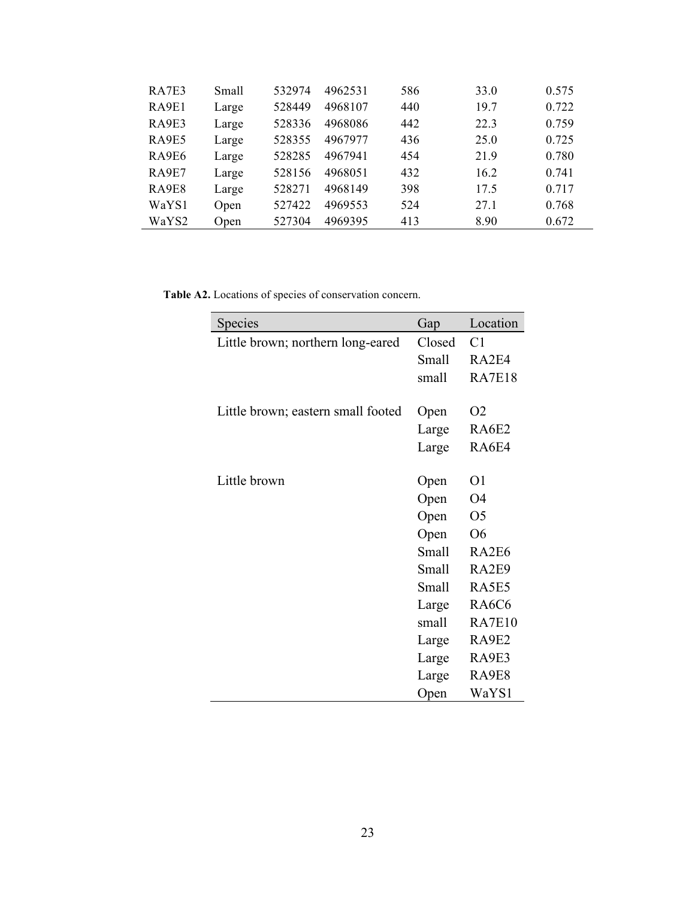| RA7E3 | Small | 532974 | 4962531 | 586 | 33.0            | 0.575 |
|-------|-------|--------|---------|-----|-----------------|-------|
| RA9E1 | Large | 528449 | 4968107 | 440 | 19.7            | 0.722 |
| RA9E3 | Large | 528336 | 4968086 | 442 | 22.3            | 0.759 |
| RA9E5 | Large | 528355 | 4967977 | 436 | 25.0            | 0.725 |
| RA9E6 | Large | 528285 | 4967941 | 454 | 21.9            | 0.780 |
| RA9E7 | Large | 528156 | 4968051 | 432 | 16.2            | 0.741 |
| RA9E8 | Large | 528271 | 4968149 | 398 | 17 <sub>5</sub> | 0.717 |
| WaYS1 | Open  | 527422 | 4969553 | 524 | 27.1            | 0.768 |
| WaYS2 | Open  | 527304 | 4969395 | 413 | 8.90            | 0.672 |

**Table A2.** Locations of species of conservation concern.

| Species                            | Gap    | Location                       |
|------------------------------------|--------|--------------------------------|
| Little brown; northern long-eared  | Closed | C <sub>1</sub>                 |
|                                    | Small  | RA2E4                          |
|                                    | small  | <b>RA7E18</b>                  |
|                                    |        |                                |
| Little brown; eastern small footed | Open   | O <sub>2</sub>                 |
|                                    | Large  | RA6E2                          |
|                                    | Large  | RA6E4                          |
|                                    |        |                                |
| Little brown                       | Open   | O1                             |
|                                    | Open   | O4                             |
|                                    | Open   | O <sub>5</sub>                 |
|                                    | Open   | O6                             |
|                                    | Small  | RA2E6                          |
|                                    | Small  | RA2E9                          |
|                                    | Small  | RA5E5                          |
|                                    | Large  | RA <sub>6</sub> C <sub>6</sub> |
|                                    | small  | <b>RA7E10</b>                  |
|                                    | Large  | RA9E2                          |
|                                    | Large  | RA9E3                          |
|                                    | Large  | RA9E8                          |
|                                    | Open   | WaYS1                          |